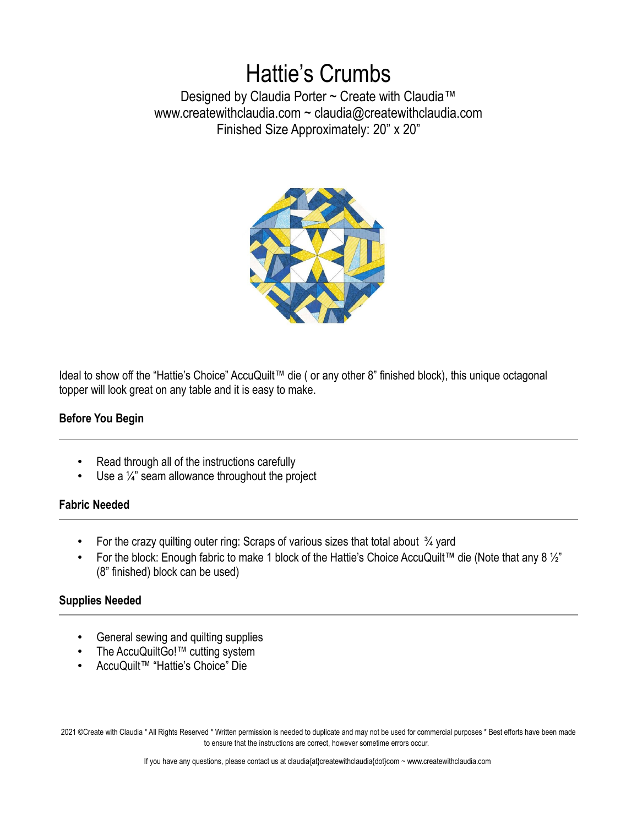# Hattie's Crumbs

Designed by Claudia Porter ~ Create with Claudia™ www.createwithclaudia.com ~ claudia@createwithclaudia.com Finished Size Approximately: 20" x 20"



Ideal to show off the "Hattie's Choice" AccuQuilt™ die ( or any other 8" finished block), this unique octagonal topper will look great on any table and it is easy to make.

# **Before You Begin**

- Read through all of the instructions carefully
- Use a  $\frac{1}{4}$ " seam allowance throughout the project

#### **Fabric Needed**

- For the crazy quilting outer ring: Scraps of various sizes that total about  $\frac{3}{4}$  yard
- For the block: Enough fabric to make 1 block of the Hattie's Choice AccuQuilt™ die (Note that any 8 ½" (8" finished) block can be used)

# **Supplies Needed**

- General sewing and quilting supplies
- The AccuQuiltGo!™ cutting system
- AccuQuilt™ "Hattie's Choice" Die

2021 ©Create with Claudia \* All Rights Reserved \* Written permission is needed to duplicate and may not be used for commercial purposes \* Best efforts have been made to ensure that the instructions are correct, however sometime errors occur.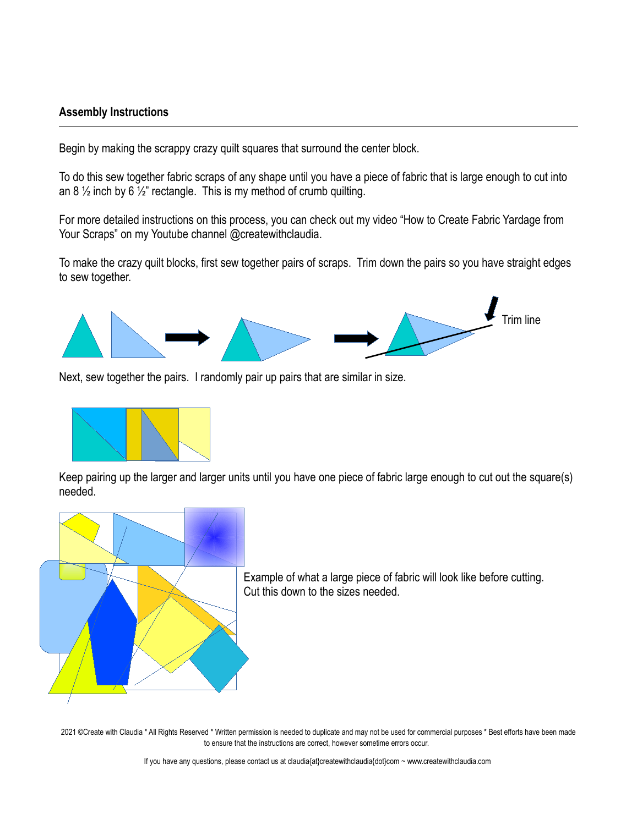#### **Assembly Instructions**

Begin by making the scrappy crazy quilt squares that surround the center block.

To do this sew together fabric scraps of any shape until you have a piece of fabric that is large enough to cut into an 8  $\frac{1}{2}$  inch by 6  $\frac{1}{2}$ " rectangle. This is my method of crumb quilting.

For more detailed instructions on this process, you can check out my video "How to Create Fabric Yardage from Your Scraps" on my Youtube channel @createwithclaudia.

To make the crazy quilt blocks, first sew together pairs of scraps. Trim down the pairs so you have straight edges to sew together.



Next, sew together the pairs. I randomly pair up pairs that are similar in size.



Keep pairing up the larger and larger units until you have one piece of fabric large enough to cut out the square(s) needed.



Example of what a large piece of fabric will look like before cutting. Cut this down to the sizes needed.

2021 ©Create with Claudia \* All Rights Reserved \* Written permission is needed to duplicate and may not be used for commercial purposes \* Best efforts have been made to ensure that the instructions are correct, however sometime errors occur.

If you have any questions, please contact us at claudia{at}createwithclaudia{dot}com ~ www.createwithclaudia.com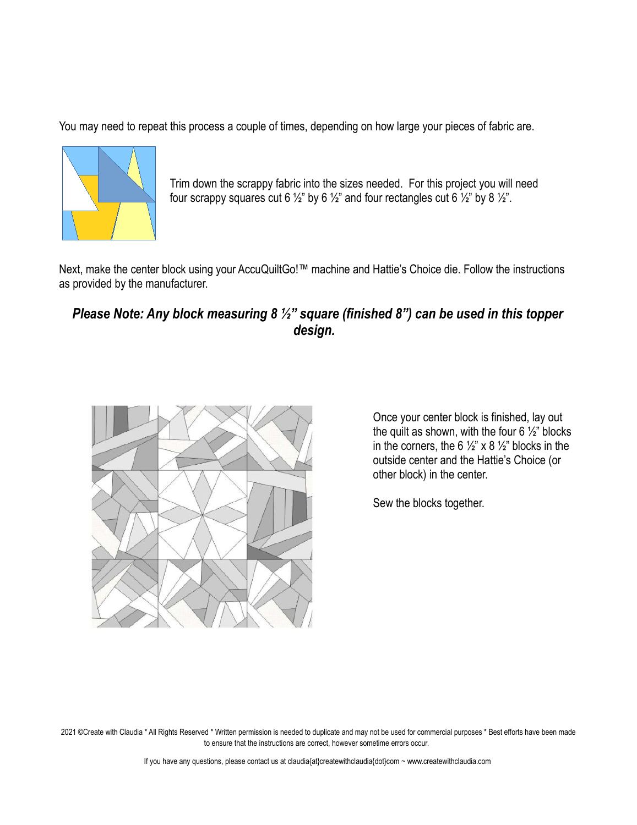You may need to repeat this process a couple of times, depending on how large your pieces of fabric are.



Trim down the scrappy fabric into the sizes needed. For this project you will need four scrappy squares cut 6  $\frac{1}{2}$ " by 6  $\frac{1}{2}$ " and four rectangles cut 6  $\frac{1}{2}$ " by 8  $\frac{1}{2}$ ".

Next, make the center block using your AccuQuiltGo!™ machine and Hattie's Choice die. Follow the instructions as provided by the manufacturer.

# *Please Note: Any block measuring 8 ½" square (finished 8") can be used in this topper design.*



Once your center block is finished, lay out the quilt as shown, with the four  $6\frac{1}{2}$ " blocks in the corners, the 6  $\frac{1}{2}$ " x 8  $\frac{1}{2}$ " blocks in the outside center and the Hattie's Choice (or other block) in the center.

Sew the blocks together.

2021 ©Create with Claudia \* All Rights Reserved \* Written permission is needed to duplicate and may not be used for commercial purposes \* Best efforts have been made to ensure that the instructions are correct, however sometime errors occur.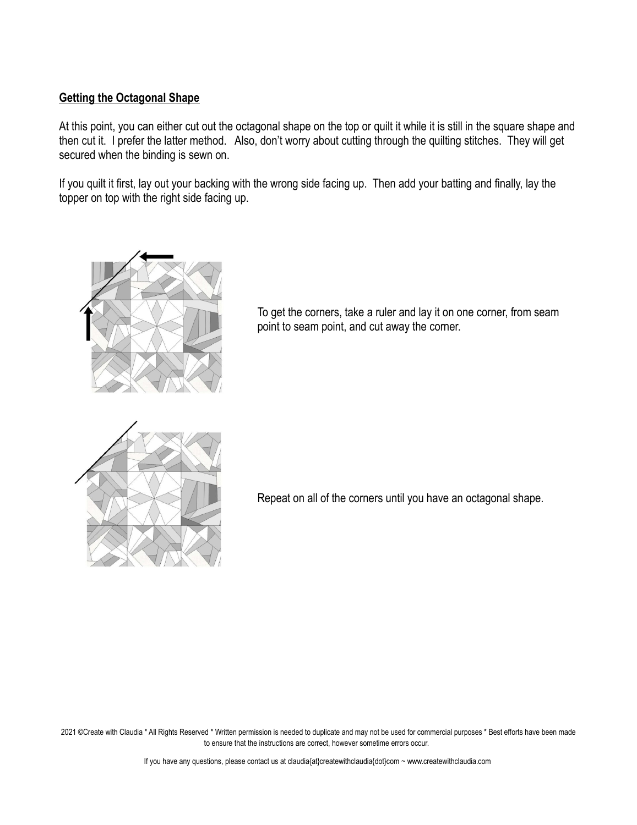### **Getting the Octagonal Shape**

At this point, you can either cut out the octagonal shape on the top or quilt it while it is still in the square shape and then cut it. I prefer the latter method. Also, don't worry about cutting through the quilting stitches. They will get secured when the binding is sewn on.

If you quilt it first, lay out your backing with the wrong side facing up. Then add your batting and finally, lay the topper on top with the right side facing up.



To get the corners, take a ruler and lay it on one corner, from seam point to seam point, and cut away the corner.



Repeat on all of the corners until you have an octagonal shape.

2021 ©Create with Claudia \* All Rights Reserved \* Written permission is needed to duplicate and may not be used for commercial purposes \* Best efforts have been made to ensure that the instructions are correct, however sometime errors occur.

If you have any questions, please contact us at claudia{at}createwithclaudia{dot}com ~ www.createwithclaudia.com